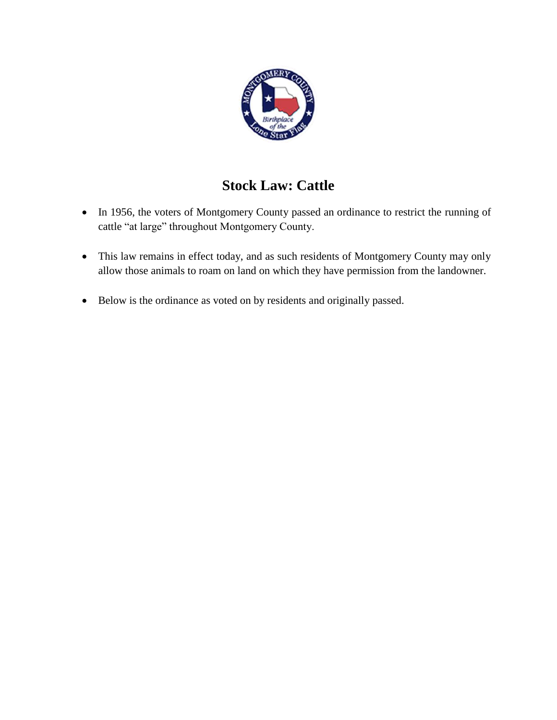

# **Stock Law: Cattle**

- In 1956, the voters of Montgomery County passed an ordinance to restrict the running of cattle "at large" throughout Montgomery County.
- This law remains in effect today, and as such residents of Montgomery County may only allow those animals to roam on land on which they have permission from the landowner.
- Below is the ordinance as voted on by residents and originally passed.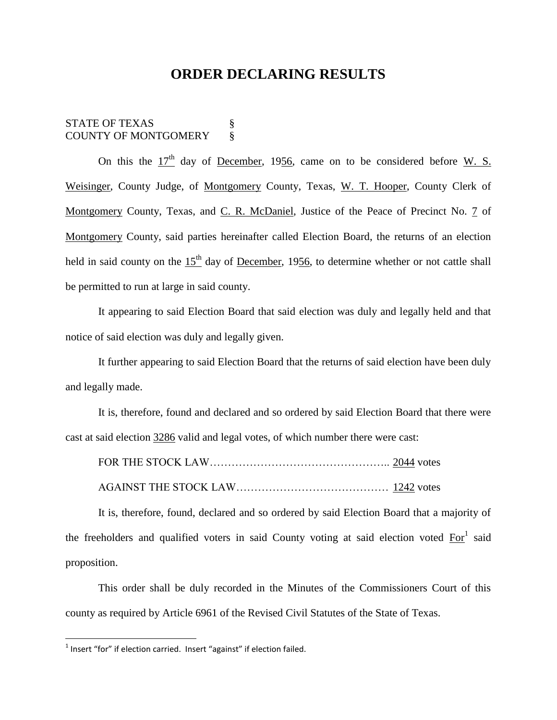## **ORDER DECLARING RESULTS**

### STATE OF TEXAS  $\S$ COUNTY OF MONTGOMERY §

On this the  $17<sup>th</sup>$  day of <u>December</u>, 1956, came on to be considered before W. S. Weisinger, County Judge, of Montgomery County, Texas, W. T. Hooper, County Clerk of Montgomery County, Texas, and C. R. McDaniel, Justice of the Peace of Precinct No. 7 of Montgomery County, said parties hereinafter called Election Board, the returns of an election held in said county on the  $15<sup>th</sup>$  day of December, 1956, to determine whether or not cattle shall be permitted to run at large in said county.

It appearing to said Election Board that said election was duly and legally held and that notice of said election was duly and legally given.

It further appearing to said Election Board that the returns of said election have been duly and legally made.

It is, therefore, found and declared and so ordered by said Election Board that there were cast at said election 3286 valid and legal votes, of which number there were cast:

It is, therefore, found, declared and so ordered by said Election Board that a majority of the freeholders and qualified voters in said County voting at said election voted  $\text{For}^1$  said proposition.

This order shall be duly recorded in the Minutes of the Commissioners Court of this county as required by Article 6961 of the Revised Civil Statutes of the State of Texas.

 $\overline{\phantom{a}}$ 

 $<sup>1</sup>$  Insert "for" if election carried. Insert "against" if election failed.</sup>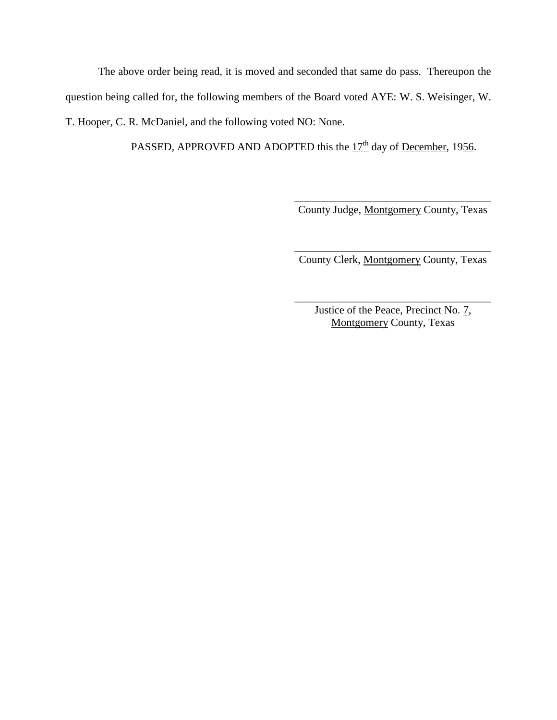The above order being read, it is moved and seconded that same do pass. Thereupon the question being called for, the following members of the Board voted AYE: W. S. Weisinger, W. T. Hooper, C. R. McDaniel, and the following voted NO: None.

PASSED, APPROVED AND ADOPTED this the  $17<sup>th</sup>$  day of <u>December</u>, 1956.

\_\_\_\_\_\_\_\_\_\_\_\_\_\_\_\_\_\_\_\_\_\_\_\_\_\_\_\_\_\_\_\_\_\_\_\_ County Judge, Montgomery County, Texas

\_\_\_\_\_\_\_\_\_\_\_\_\_\_\_\_\_\_\_\_\_\_\_\_\_\_\_\_\_\_\_\_\_\_\_\_ County Clerk, Montgomery County, Texas

Justice of the Peace, Precinct No. 7, Montgomery County, Texas

\_\_\_\_\_\_\_\_\_\_\_\_\_\_\_\_\_\_\_\_\_\_\_\_\_\_\_\_\_\_\_\_\_\_\_\_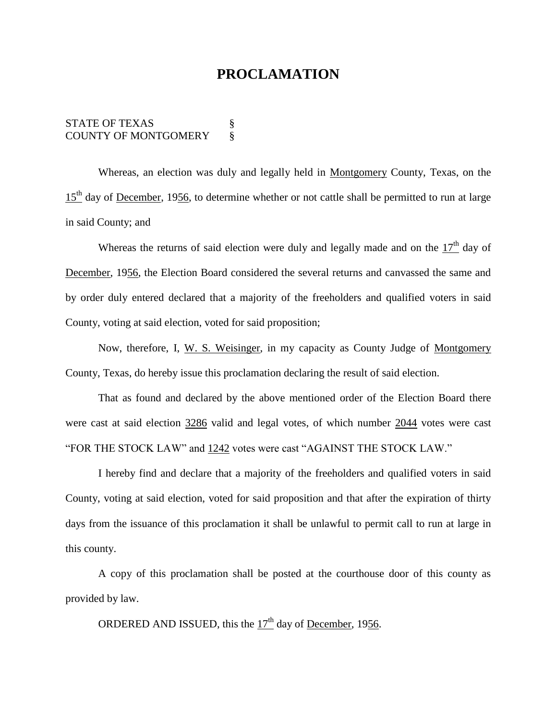## **PROCLAMATION**

#### STATE OF TEXAS  $\S$ COUNTY OF MONTGOMERY §

Whereas, an election was duly and legally held in Montgomery County, Texas, on the  $15<sup>th</sup>$  day of <u>December</u>, 1956, to determine whether or not cattle shall be permitted to run at large in said County; and

Whereas the returns of said election were duly and legally made and on the  $17<sup>th</sup>$  day of December, 1956, the Election Board considered the several returns and canvassed the same and by order duly entered declared that a majority of the freeholders and qualified voters in said County, voting at said election, voted for said proposition;

Now, therefore, I, W. S. Weisinger, in my capacity as County Judge of Montgomery County, Texas, do hereby issue this proclamation declaring the result of said election.

That as found and declared by the above mentioned order of the Election Board there were cast at said election 3286 valid and legal votes, of which number 2044 votes were cast "FOR THE STOCK LAW" and 1242 votes were cast "AGAINST THE STOCK LAW."

I hereby find and declare that a majority of the freeholders and qualified voters in said County, voting at said election, voted for said proposition and that after the expiration of thirty days from the issuance of this proclamation it shall be unlawful to permit call to run at large in this county.

A copy of this proclamation shall be posted at the courthouse door of this county as provided by law.

ORDERED AND ISSUED, this the  $17<sup>th</sup>$  day of <u>December</u>, 1956.